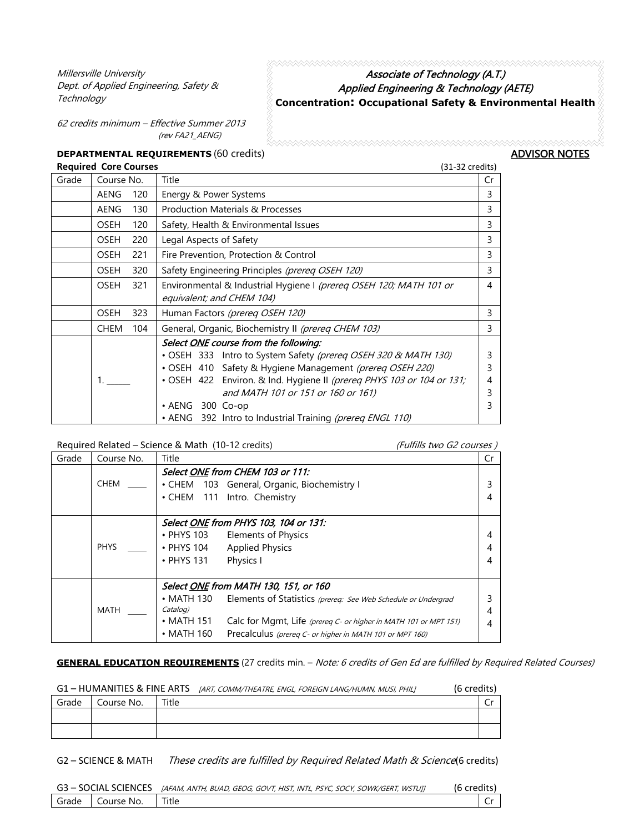Millersville University Dept. of Applied Engineering, Safety & **Technology** 

## Associate of Technology (A.T.) Applied Engineering & Technology (AETE) **Concentration: Occupational Safety & Environmental Health**

62 credits minimum – Effective Summer 2013 (rev FA21\_AENG)

## **DEPARTMENTAL REQUIREMENTS** (60 credits) **ADVISOR NOTES**

| <b>Required Core Courses</b> |                    |                                                                         | $(31-32 \text{ credits})$ |  |  |
|------------------------------|--------------------|-------------------------------------------------------------------------|---------------------------|--|--|
| Grade                        | Course No.         | Title                                                                   | Cr                        |  |  |
|                              | <b>AENG</b><br>120 | Energy & Power Systems                                                  | 3                         |  |  |
|                              | AENG<br>130        | <b>Production Materials &amp; Processes</b>                             | 3                         |  |  |
|                              | OSEH<br>120        | Safety, Health & Environmental Issues                                   | 3                         |  |  |
|                              | 220<br>OSEH        | Legal Aspects of Safety                                                 |                           |  |  |
|                              | <b>OSEH</b><br>221 | Fire Prevention, Protection & Control                                   |                           |  |  |
|                              | 320<br>OSEH        | Safety Engineering Principles (prereq OSEH 120)                         |                           |  |  |
|                              | 321<br><b>OSEH</b> | Environmental & Industrial Hygiene I (prereq OSEH 120; MATH 101 or      |                           |  |  |
|                              |                    | equivalent; and CHEM 104)                                               |                           |  |  |
|                              | 323<br>OSEH        | Human Factors (prereq OSEH 120)                                         |                           |  |  |
|                              | 104<br><b>CHEM</b> | General, Organic, Biochemistry II (prereq CHEM 103)                     |                           |  |  |
|                              |                    | Select <u>ONE</u> course from the following:                            |                           |  |  |
|                              |                    | Intro to System Safety (prereg OSEH 320 & MATH 130)<br>•OSEH 333        | 3                         |  |  |
|                              |                    | • OSEH 410 Safety & Hygiene Management (prereq OSEH 220)                | 3                         |  |  |
|                              | 1.                 | • OSEH 422 Environ. & Ind. Hygiene II (prereg PHYS 103 or 104 or 131;   | 4                         |  |  |
|                              |                    | and MATH 101 or 151 or 160 or 161)                                      | 3                         |  |  |
|                              |                    | 300 Co-op<br>$\bullet$ AENG                                             | 3                         |  |  |
|                              |                    | $\bm{\cdot}$ AENG<br>392 Intro to Industrial Training (prereq ENGL 110) |                           |  |  |

Required Related – Science & Math (10-12 credits) (Fulfills two G2 courses )

| Grade | Course No.  | Title                                                                                                                                                                                                                                                                                                   | Cr |
|-------|-------------|---------------------------------------------------------------------------------------------------------------------------------------------------------------------------------------------------------------------------------------------------------------------------------------------------------|----|
|       | <b>CHEM</b> | Select ONE from CHEM 103 or 111:<br>• CHEM 103 General, Organic, Biochemistry I<br>• CHEM 111 Intro. Chemistry                                                                                                                                                                                          |    |
|       | <b>PHYS</b> | Select ONE from PHYS 103, 104 or 131:<br>• PHYS 103 Elements of Physics<br>• PHYS 104 Applied Physics<br>$\cdot$ PHYS 131<br>Physics I                                                                                                                                                                  |    |
|       | MATH        | Select ONE from MATH 130, 151, or 160<br>• MATH 130 Elements of Statistics (prereq: See Web Schedule or Undergrad<br>Catalog)<br>$\bullet$ MATH 151<br>Calc for Mgmt, Life (prereq C- or higher in MATH 101 or MPT 151)<br>$\cdot$ MATH 160<br>Precalculus (prereq C- or higher in MATH 101 or MPT 160) |    |

## **GENERAL EDUCATION REQUIREMENTS** (27 credits min. – Note: 6 credits of Gen Ed are fulfilled by Required Related Courses)

| G1 – HUMANITIES & FINE ARTS |            |       | [ART, COMM/THEATRE, ENGL, FOREIGN LANG/HUMN, MUSI, PHIL] | (6 credits) |  |
|-----------------------------|------------|-------|----------------------------------------------------------|-------------|--|
| Grade                       | Course No. | Title |                                                          |             |  |
|                             |            |       |                                                          |             |  |
|                             |            |       |                                                          |             |  |

G2 – SCIENCE & MATH These credits are fulfilled by Required Related Math & Science(6 credits)

|  |                    | G3 - SOCIAL SCIENCES <i>[AFAM, ANTH, BUAD, GEOG, GOVT, HIST, INTL, PSYC, SOCY, SOWK/GERT, WSTUJ]</i> | (6 credits) |
|--|--------------------|------------------------------------------------------------------------------------------------------|-------------|
|  | Grade   Course No. | Title                                                                                                |             |